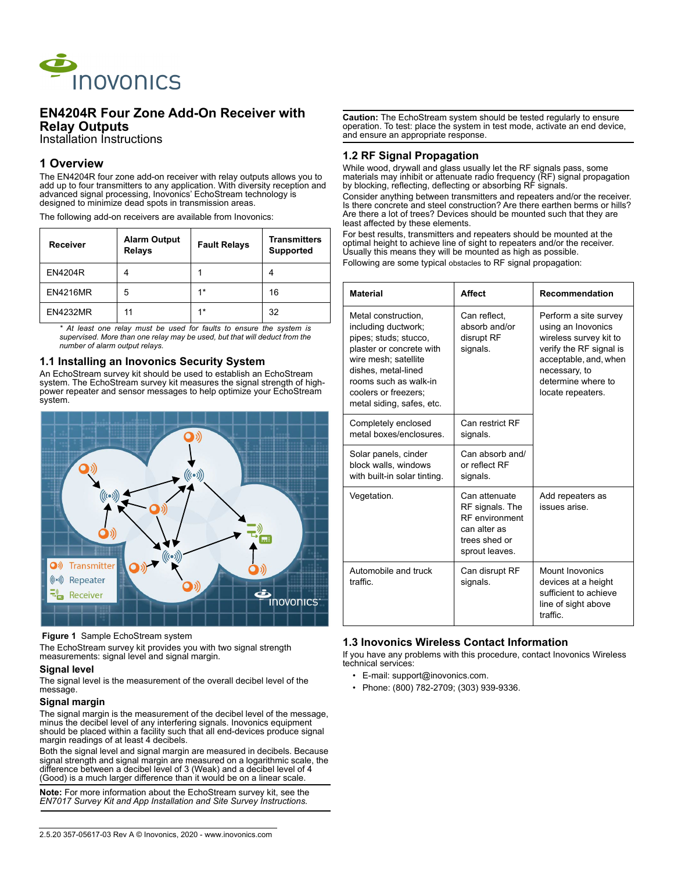

# **EN4204R Four Zone Add-On Receiver with Relay Outputs**

Installation Instructions

# **1 Overview**

The EN4204R four zone add-on receiver with relay outputs allows you to add up to four transmitters to any application. With diversity reception and advanced signal processing, Inovonics' EchoStream technology is designed to minimize dead spots in transmission areas.

The following add-on receivers are available from Inovonics:

| Receiver        | <b>Alarm Output</b><br><b>Relays</b> | <b>Fault Relays</b> | <b>Transmitters</b><br><b>Supported</b> |
|-----------------|--------------------------------------|---------------------|-----------------------------------------|
| <b>EN4204R</b>  |                                      |                     |                                         |
| <b>EN4216MR</b> | 5                                    | $1*$                | 16                                      |
| <b>EN4232MR</b> | 11                                   | $1*$                | 32                                      |

*\* At least one relay must be used for faults to ensure the system is supervised. More than one relay may be used, but that will deduct from the number of alarm output relays.*

#### **1.1 Installing an Inovonics Security System**

An EchoStream survey kit should be used to establish an EchoStream system. The EchoStream survey kit measures the signal strength of highpower repeater and sensor messages to help optimize your EchoStream system.



#### **Figure 1** Sample EchoStream system

The EchoStream survey kit provides you with two signal strength measurements: signal level and signal margin.

#### **Signal level**

The signal level is the measurement of the overall decibel level of the message.

#### **Signal margin**

The signal margin is the measurement of the decibel level of the message, minus the decibel level of any interfering signals. Inovonics equipment should be placed within a facility such that all end-devices produce signal margin readings of at least 4 decibels.

Both the signal level and signal margin are measured in decibels. Because signal strength and signal margin are measured on a logarithmic scale, the difference between a decibel level of 3 (Weak) and a decibel level of  $4^{7}$ (Good) is a much larger difference than it would be on a linear scale.

**Note:** For more information about the EchoStream survey kit, see the *EN7017 Survey Kit and App Installation and Site Survey Instructions.*

**Caution:** The EchoStream system should be tested regularly to ensure operation. To test: place the system in test mode, activate an end device, and ensure an appropriate response.

#### **1.2 RF Signal Propagation**

While wood, drywall and glass usually let the RF signals pass, some materials may inhibit or attenuate radio frequency (RF) signal propagation by blocking, reflecting, deflecting or absorbing RF signals.

Consider anything between transmitters and repeaters and/or the receiver. Is there concrete and steel construction? Are there earthen berms or hills? Are there a lot of trees? Devices should be mounted such that they are least affected by these elements.

For best results, transmitters and repeaters should be mounted at the optimal height to achieve line of sight to repeaters and/or the receiver. Usually this means they will be mounted as high as possible. Following are some typical obstacles to RF signal propagation:

| <b>Material</b>                                                                                                                                                                                                              | <b>Affect</b>                                                                                         | <b>Recommendation</b>                                                                                                                                                                 |  |
|------------------------------------------------------------------------------------------------------------------------------------------------------------------------------------------------------------------------------|-------------------------------------------------------------------------------------------------------|---------------------------------------------------------------------------------------------------------------------------------------------------------------------------------------|--|
| Metal construction.<br>including ductwork;<br>pipes; studs; stucco,<br>plaster or concrete with<br>wire mesh; satellite<br>dishes, metal-lined<br>rooms such as walk-in<br>coolers or freezers;<br>metal siding, safes, etc. | Can reflect,<br>absorb and/or<br>disrupt RF<br>signals.                                               | Perform a site survey<br>using an Inovonics<br>wireless survey kit to<br>verify the RF signal is<br>acceptable, and, when<br>necessary, to<br>determine where to<br>locate repeaters. |  |
| Completely enclosed<br>metal boxes/enclosures.                                                                                                                                                                               | Can restrict RF<br>signals.                                                                           |                                                                                                                                                                                       |  |
| Solar panels, cinder<br>block walls, windows<br>with built-in solar tinting.                                                                                                                                                 | Can absorb and/<br>or reflect RF<br>signals.                                                          |                                                                                                                                                                                       |  |
| Vegetation.                                                                                                                                                                                                                  | Can attenuate<br>RF signals. The<br>RF environment<br>can alter as<br>trees shed or<br>sprout leaves. | Add repeaters as<br>issues arise                                                                                                                                                      |  |
| Automobile and truck<br>traffic                                                                                                                                                                                              | Can disrupt RF<br>signals.                                                                            | Mount Inovonics<br>devices at a height<br>sufficient to achieve<br>line of sight above<br>traffic                                                                                     |  |

## **1.3 Inovonics Wireless Contact Information**

If you have any problems with this procedure, contact Inovonics Wireless technical services:

- E-mail: support@inovonics.com.
- Phone: (800) 782-2709; (303) 939-9336.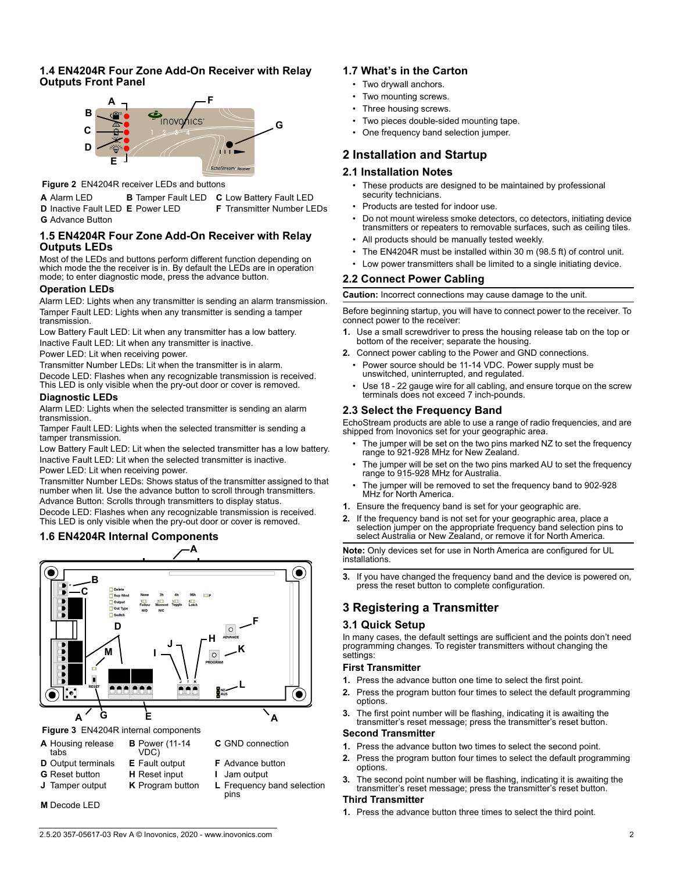### **1.4 EN4204R Four Zone Add-On Receiver with Relay Outputs Front Panel**



 **Figure 2** EN4204R receiver LEDs and buttons

**A** Alarm LED **B** Tamper Fault LED **C** Low Battery Fault LED **D** Inactive Fault LED **E** Power LED **F** Transmitter Number LEDs **G** Advance Button

### **1.5 EN4204R Four Zone Add-On Receiver with Relay Outputs LEDs**

Most of the LEDs and buttons perform different function depending on which mode the the receiver is in. By default the LEDs are in operation mode; to enter diagnostic mode, press the advance button.

#### **Operation LEDs**

Alarm LED: Lights when any transmitter is sending an alarm transmission. Tamper Fault LED: Lights when any transmitter is sending a tamper transmission.

Low Battery Fault LED: Lit when any transmitter has a low battery. Inactive Fault LED: Lit when any transmitter is inactive.

Power LED: Lit when receiving power.

Transmitter Number LEDs: Lit when the transmitter is in alarm. Decode LED: Flashes when any recognizable transmission is received. This LED is only visible when the pry-out door or cover is removed.

#### **Diagnostic LEDs**

Alarm LED: Lights when the selected transmitter is sending an alarm transmission.

Tamper Fault LED: Lights when the selected transmitter is sending a tamper transmission.

Low Battery Fault LED: Lit when the selected transmitter has a low battery. Inactive Fault LED: Lit when the selected transmitter is inactive.

Power LED: Lit when receiving power.

Transmitter Number LEDs: Shows status of the transmitter assigned to that number when lit. Use the advance button to scroll through transmitters. Advance Button: Scrolls through transmitters to display status. Decode LED: Flashes when any recognizable transmission is received.

This LED is only visible when the pry-out door or cover is removed.

# **1.6 EN4204R Internal Components**



 **Figure 3** EN4204R internal components

- **A** Housing release tabs
- **D** Output terminals **E** Fault output **F** Advance button
- 
- 
- **G** Reset button **H** Reset input **I** Jam output

**C** GND connection

pins

**J** Tamper output **K** Program button **L** Frequency band selection

**B** Power (11-14 VDC)

**M** Decode LED

# **1.7 What's in the Carton** • Two drywall anchors.

- Two mounting screws.
- Three housing screws.
- Two pieces double-sided mounting tape.
- One frequency band selection jumper.

# **2 Installation and Startup**

# **2.1 Installation Notes**

- These products are designed to be maintained by professional security technicians.
- Products are tested for indoor use.
- Do not mount wireless smoke detectors, co detectors, initiating device transmitters or repeaters to removable surfaces, such as ceiling tiles.
- All products should be manually tested weekly.
- The EN4204R must be installed within 30 m (98.5 ft) of control unit.
- Low power transmitters shall be limited to a single initiating device.

# **2.2 Connect Power Cabling**

**Caution:** Incorrect connections may cause damage to the unit.

Before beginning startup, you will have to connect power to the receiver. To connect power to the receiver:

- **1.** Use a small screwdriver to press the housing release tab on the top or bottom of the receiver; separate the housing.
- **2.** Connect power cabling to the Power and GND connections.
	- Power source should be 11-14 VDC. Power supply must be unswitched, uninterrupted, and regulated.
	- Use 18 22 gauge wire for all cabling, and ensure torque on the screw terminals does not exceed 7 inch-pounds.

# **2.3 Select the Frequency Band**

EchoStream products are able to use a range of radio frequencies, and are shipped from Inovonics set for your geographic area.

- The jumper will be set on the two pins marked NZ to set the frequency range to 921-928 MHz for New Zealand.
- The jumper will be set on the two pins marked AU to set the frequency range to 915-928 MHz for Australia.
- The jumper will be removed to set the frequency band to 902-928 MHz for North America.
- **1.** Ensure the frequency band is set for your geographic are.
- **2.** If the frequency band is not set for your geographic area, place a selection jumper on the appropriate frequency band selection pins to select Australia or New Zealand, or remove it for North America.

**Note:** Only devices set for use in North America are configured for UL installations.

**3.** If you have changed the frequency band and the device is powered on, press the reset button to complete configuration.

# **3 Registering a Transmitter**

## **3.1 Quick Setup**

In many cases, the default settings are sufficient and the points don't need programming changes. To register transmitters without changing the settings:

#### **First Transmitter**

- **1.** Press the advance button one time to select the first point.
- **2.** Press the program button four times to select the default programming options.
- **3.** The first point number will be flashing, indicating it is awaiting the transmitter's reset message; press the transmitter's reset button.

#### **Second Transmitter**

- **1.** Press the advance button two times to select the second point.
- **2.** Press the program button four times to select the default programming options.
- **3.** The second point number will be flashing, indicating it is awaiting the transmitter's reset message; press the transmitter's reset button.

## **Third Transmitter**

**1.** Press the advance button three times to select the third point.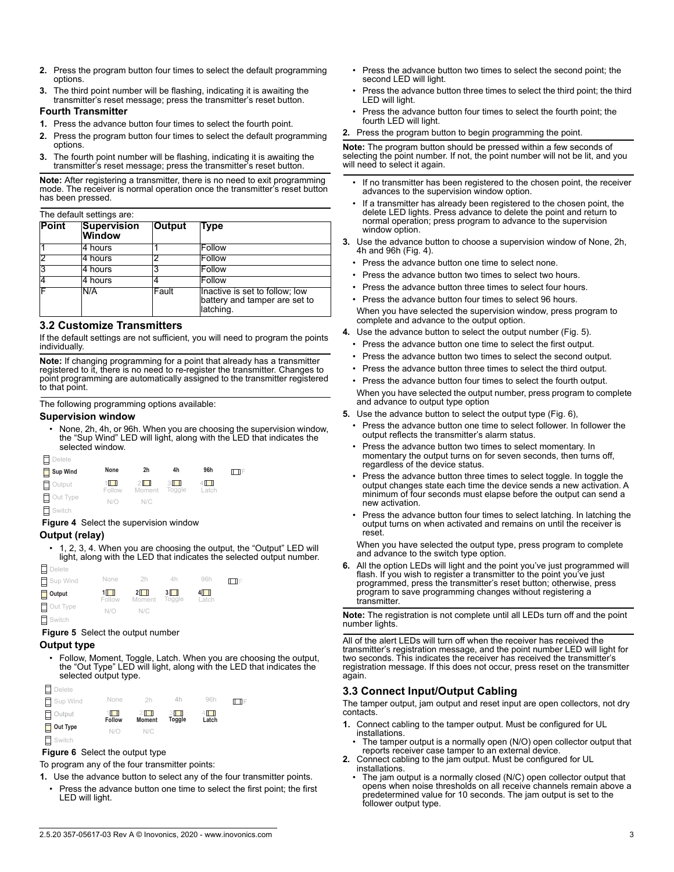- **2.** Press the program button four times to select the default programming options.
- **3.** The third point number will be flashing, indicating it is awaiting the transmitter's reset message; press the transmitter's reset button.

#### **Fourth Transmitter**

- **1.** Press the advance button four times to select the fourth point.
- **2.** Press the program button four times to select the default programming options.
- **3.** The fourth point number will be flashing, indicating it is awaiting the transmitter's reset message; press the transmitter's reset button.

**Note:** After registering a transmitter, there is no need to exit programming mode. The receiver is normal operation once the transmitter's reset button has been pressed.

#### The default settings are:

| Point | <b>Supervision</b><br><b>Window</b> | <b>Output</b> | Type                                                                         |
|-------|-------------------------------------|---------------|------------------------------------------------------------------------------|
|       | 4 hours                             |               | Follow                                                                       |
|       | 4 hours                             |               | Follow                                                                       |
| 3     | 4 hours                             |               | Follow                                                                       |
|       | 4 hours                             |               | Follow                                                                       |
|       | N/A                                 | Fault         | Inactive is set to follow; low<br>battery and tamper are set to<br>latching. |

#### **3.2 Customize Transmitters**

If the default settings are not sufficient, you will need to program the points individually.

**Note:** If changing programming for a point that already has a transmitter registered to it, there is no need to re-register the transmitter. Changes to point programming are automatically assigned to the transmitter registered to that point.

The following programming options available:

#### **Supervision window**

• None, 2h, 4h, or 96h. When you are choosing the supervision window, the "Sup Wind" LED will light, along with the LED that indicates the selected window.

| $\Box$ Delete |                      |                   |              |                         |       |
|---------------|----------------------|-------------------|--------------|-------------------------|-------|
| Sup Wind      | None                 | 2h                | 4h           | 96h                     | l⊟l E |
| $\Box$ Output | $1$ $\Box$<br>Follow | $2\Box$<br>Moment | 3L<br>Togale | $4 \mathbf{L}$<br>Latch |       |
| Out Type      | N/O                  | N/C               |              |                         |       |
| $\Box$ Switch |                      |                   |              |                         |       |

 **Figure 4** Select the supervision window

#### **Output (relay)**

• 1, 2, 3, 4. When you are choosing the output, the "Output" LED will light, along with the LED that indicates the selected output number.



 **Figure 5** Select the output number

## **Output type**

• Follow, Moment, Toggle, Latch. When you are choosing the output, the "Out Type" LED will light, along with the LED that indicates the selected output type.



## **Figure 6** Select the output type

To program any of the four transmitter points:

- **1.** Use the advance button to select any of the four transmitter points.
- Press the advance button one time to select the first point; the first LED will light.
- Press the advance button two times to select the second point; the second LED will light.
- Press the advance button three times to select the third point; the third LED will light.
- Press the advance button four times to select the fourth point; the fourth LED will light.

### **2.** Press the program button to begin programming the point.

**Note:** The program button should be pressed within a few seconds of selecting the point number. If not, the point number will not be lit, and you will need to select it again.

- If no transmitter has been registered to the chosen point, the receiver advances to the supervision window option.
- If a transmitter has already been registered to the chosen point, the delete LED lights. Press advance to delete the point and return to normal operation; press program to advance to the supervision window option.
- **3.** Use the advance button to choose a supervision window of None, 2h, 4h and 96h (Fig. 4).
	- Press the advance button one time to select none.
	- Press the advance button two times to select two hours.
	- Press the advance button three times to select four hours.
	- Press the advance button four times to select 96 hours.

When you have selected the supervision window, press program to complete and advance to the output option.

- **4.** Use the advance button to select the output number (Fig. 5).
	- Press the advance button one time to select the first output.
	- Press the advance button two times to select the second output.
	- Press the advance button three times to select the third output.
	- Press the advance button four times to select the fourth output. When you have selected the output number, press program to complete and advance to output type option
- **5.** Use the advance button to select the output type (Fig. 6),
	- Press the advance button one time to select follower. In follower the output reflects the transmitter's alarm status.
	- Press the advance button two times to select momentary. In momentary the output turns on for seven seconds, then turns off, regardless of the device status.
	- Press the advance button three times to select toggle. In toggle the output changes state each time the device sends a new activation. A minimum of four seconds must elapse before the output can send a new activation.
	- Press the advance button four times to select latching. In latching the output turns on when activated and remains on until the receiver is reset.

When you have selected the output type, press program to complete and advance to the switch type option.

**6.** All the option LEDs will light and the point you've just programmed will flash. If you wish to register a transmitter to the point you've just programmed, press the transmitter's reset button; otherwise, press program to save programming changes without registering a transmitter.

**Note:** The registration is not complete until all LEDs turn off and the point number lights.

All of the alert LEDs will turn off when the receiver has received the transmitter's registration message, and the point number LED will light for two seconds. This indicates the receiver has received the transmitter's registration message. If this does not occur, press reset on the transmitter again.

# **3.3 Connect Input/Output Cabling**

The tamper output, jam output and reset input are open collectors, not dry contacts.

- **1.** Connect cabling to the tamper output. Must be configured for UL installations.
- The tamper output is a normally open (N/O) open collector output that reports receiver case tamper to an external device.
- **2.** Connect cabling to the jam output. Must be configured for UL installations.
	- The jam output is a normally closed (N/C) open collector output that opens when noise thresholds on all receive channels remain above a predetermined value for 10 seconds. The jam output is set to the follower output type.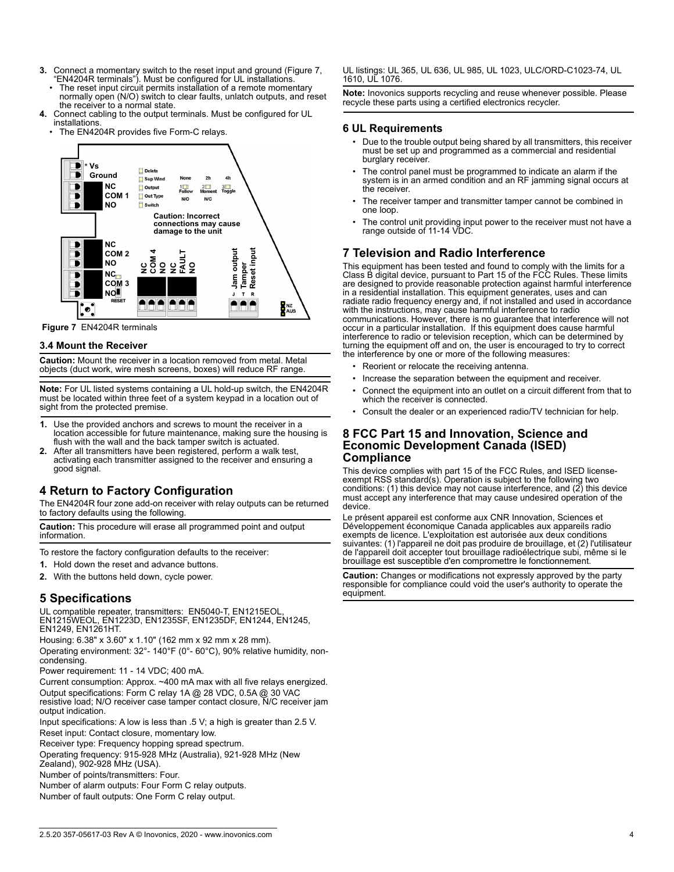- **3.** Connect a momentary switch to the reset input and ground (Figure 7, "EN4204R terminals"). Must be configured for UL installations.
- The reset input circuit permits installation of a remote momentary normally open (N/O) switch to clear faults, unlatch outputs, and reset the receiver to a normal state.
- **4.** Connect cabling to the output terminals. Must be configured for UL installations.
	- The EN4204R provides five Form-C relays.



 **Figure 7** EN4204R terminals

### **3.4 Mount the Receiver**

**Caution:** Mount the receiver in a location removed from metal. Metal objects (duct work, wire mesh screens, boxes) will reduce RF range.

**Note:** For UL listed systems containing a UL hold-up switch, the EN4204R must be located within three feet of a system keypad in a location out of sight from the protected premise.

- **1.** Use the provided anchors and screws to mount the receiver in a location accessible for future maintenance, making sure the housing is flush with the wall and the back tamper switch is actuated.
- **2.** After all transmitters have been registered, perform a walk test, activating each transmitter assigned to the receiver and ensuring a good signal.

# **4 Return to Factory Configuration**

The EN4204R four zone add-on receiver with relay outputs can be returned to factory defaults using the following.

**Caution:** This procedure will erase all programmed point and output information.

To restore the factory configuration defaults to the receiver:

- **1.** Hold down the reset and advance buttons.
- **2.** With the buttons held down, cycle power.

# **5 Specifications**

UL compatible repeater, transmitters: EN5040-T, EN1215EOL, EN1215WEOL, EN1223D, EN1235SF, EN1235DF, EN1244, EN1245, EN1249, EN1261HT.

Housing: 6.38" x 3.60" x 1.10" (162 mm x 92 mm x 28 mm).

Operating environment: 32°- 140°F (0°- 60°C), 90% relative humidity, noncondensing.

Power requirement: 11 - 14 VDC; 400 mA.

Current consumption: Approx. ~400 mA max with all five relays energized. Output specifications: Form C relay 1A @ 28 VDC, 0.5A @ 30 VAC

resistive load; N/O receiver case tamper contact closure, N/C receiver jam output indication.

Input specifications: A low is less than .5 V; a high is greater than 2.5 V. Reset input: Contact closure, momentary low.

Receiver type: Frequency hopping spread spectrum.

Operating frequency: 915-928 MHz (Australia), 921-928 MHz (New Zealand), 902-928 MHz (USA).

Number of points/transmitters: Four.

Number of alarm outputs: Four Form C relay outputs.

Number of fault outputs: One Form C relay output.

UL listings: UL 365, UL 636, UL 985, UL 1023, ULC/ORD-C1023-74, UL 1610, UL 1076.

**Note:** Inovonics supports recycling and reuse whenever possible. Please recycle these parts using a certified electronics recycler.

#### **6 UL Requirements**

- Due to the trouble output being shared by all transmitters, this receiver must be set up and programmed as a commercial and residential burglary receiver.
- The control panel must be programmed to indicate an alarm if the system is in an armed condition and an RF jamming signal occurs at the receiver.
- The receiver tamper and transmitter tamper cannot be combined in one loop.
- The control unit providing input power to the receiver must not have a range outside of 11-14 VDC.

# **7 Television and Radio Interference**

This equipment has been tested and found to comply with the limits for a Class B digital device, pursuant to Part 15 of the FCC Rules. These limits are designed to provide reasonable protection against harmful interference in a residential installation. This equipment generates, uses and can radiate radio frequency energy and, if not installed and used in accordance with the instructions, may cause harmful interference to radio communications. However, there is no guarantee that interference will not occur in a particular installation. If this equipment does cause harmful interference to radio or television reception, which can be determined by turning the equipment off and on, the user is encouraged to try to correct the interference by one or more of the following measures:

- Reorient or relocate the receiving antenna.
	- Increase the separation between the equipment and receiver.
- Connect the equipment into an outlet on a circuit different from that to which the receiver is connected.
- Consult the dealer or an experienced radio/TV technician for help.

# **8 FCC Part 15 and Innovation, Science and Economic Development Canada (ISED) Compliance**

This device complies with part 15 of the FCC Rules, and ISED licenseexempt RSS standard(s). Operation is subject to the following two conditions: (1) this device may not cause interference, and (2) this device must accept any interference that may cause undesired operation of the device.

Le présent appareil est conforme aux CNR Innovation, Sciences et Développement économique Canada applicables aux appareils radio exempts de licence. L'exploitation est autorisée aux deux conditions suivantes: (1) l'appareil ne doit pas produire de brouillage, et (2) l'utilisateur de l'appareil doit accepter tout brouillage radioélectrique subi, même si le brouillage est susceptible d'en compromettre le fonctionnement.

**Caution:** Changes or modifications not expressly approved by the party responsible for compliance could void the user's authority to operate the equipment.